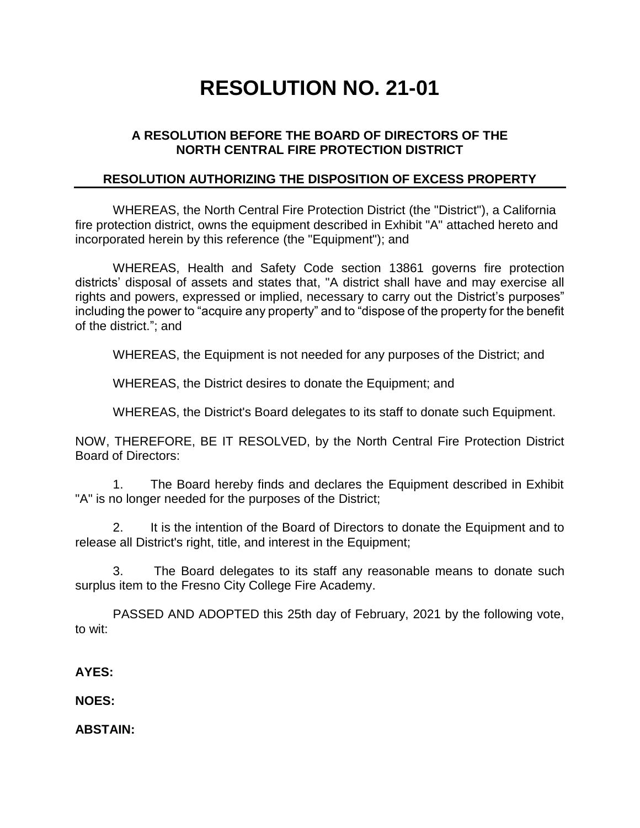# **RESOLUTION NO. 21-01**

### **A RESOLUTION BEFORE THE BOARD OF DIRECTORS OF THE NORTH CENTRAL FIRE PROTECTION DISTRICT**

#### **RESOLUTION AUTHORIZING THE DISPOSITION OF EXCESS PROPERTY**

WHEREAS, the North Central Fire Protection District (the "District"), a California fire protection district, owns the equipment described in Exhibit "A" attached hereto and incorporated herein by this reference (the "Equipment"); and

WHEREAS, Health and Safety Code section 13861 governs fire protection districts' disposal of assets and states that, "A district shall have and may exercise all rights and powers, expressed or implied, necessary to carry out the District's purposes" including the power to "acquire any property" and to "dispose of the property for the benefit of the district."; and

WHEREAS, the Equipment is not needed for any purposes of the District; and

WHEREAS, the District desires to donate the Equipment; and

WHEREAS, the District's Board delegates to its staff to donate such Equipment.

NOW, THEREFORE, BE IT RESOLVED, by the North Central Fire Protection District Board of Directors:

1. The Board hereby finds and declares the Equipment described in Exhibit "A" is no longer needed for the purposes of the District;

2. It is the intention of the Board of Directors to donate the Equipment and to release all District's right, title, and interest in the Equipment;

3. The Board delegates to its staff any reasonable means to donate such surplus item to the Fresno City College Fire Academy.

PASSED AND ADOPTED this 25th day of February, 2021 by the following vote, to wit:

**AYES:**

**NOES:**

**ABSTAIN:**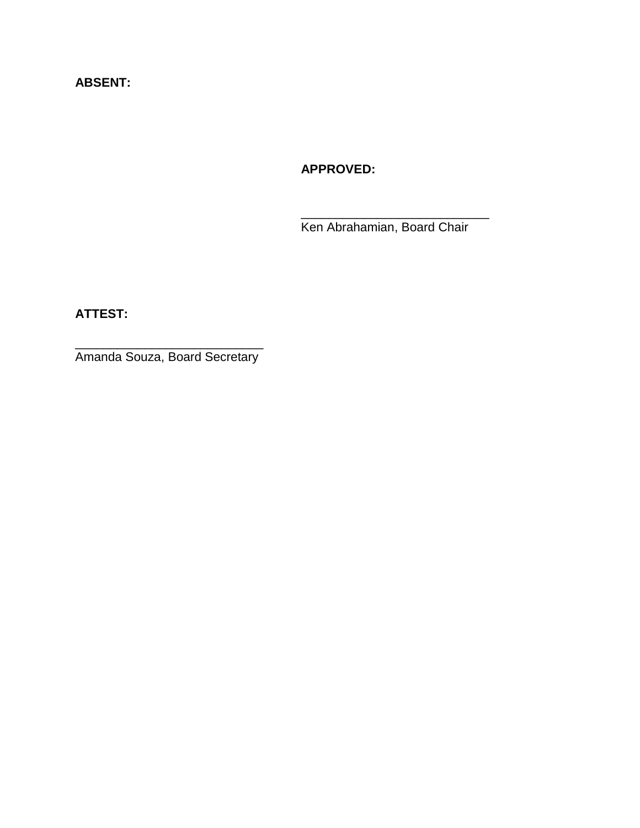## **ABSENT:**

## **APPROVED:**

Ken Abrahamian, Board Chair

\_\_\_\_\_\_\_\_\_\_\_\_\_\_\_\_\_\_\_\_\_\_\_\_\_\_\_

**ATTEST:**

\_\_\_\_\_\_\_\_\_\_\_\_\_\_\_\_\_\_\_\_\_\_\_\_\_\_\_ Amanda Souza, Board Secretary